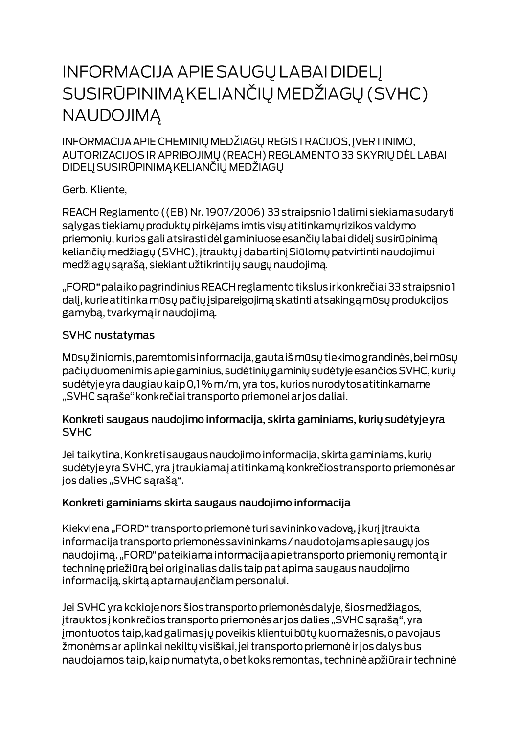# **INFORMACIJA APIE SAUGŲ LABAI DIDELĮ** SUSIRŪPINIMĄ KELIANČIŲ MEDŽIAGŲ (SVHC) **NAUDOJIMA**

INFORMACIJA APIE CHEMINIŲ MEDŽIAGŲ REGISTRACIJOS, ĮVERTINIMO, AUTORIZACIJOS IR APRIBOJIMŲ (REACH) REGLAMENTO 33 SKYRIŲ DĖL LABAI DIDELJ SUSIRŪPINIMĄ KELIANČIŲ MEDŽIAGŲ

Gerb. Kliente,

REACH Reglamento ((EB) Nr. 1907/2006) 33 straipsnio I dalimi siekiama sudaryti salygas tiekiamų produktų pirkėjams imtis visų atitinkamų rizikos valdymo priemonių, kurios gali atsirastidėl gaminiuose esančių labai didelį susirūpinimą keliančių medžiagų (SVHC), įtrauktų į dabartinį Siūlomų patvirtinti naudojimui medžiagų sąrašą, siekiant užtikrintijų saugų naudojimą.

"FORD" palaiko pagrindinius REACH reglamento tikslus ir konkrečiai 33 straipsnio 1 dalį, kurie atitinka mūsų pačių įsipareigojimą skatinti atsakingą mūsų produkcijos gamybą, tvarkymą ir naudojimą.

#### **SVHC nustatymas**

Mūsų žiniomis, paremtomis informacija, gautaiš mūsų tiekimo grandinės, bei mūsų pačių duomenimis apie gaminius, sudėtinių gaminių sudėtyje esančios SVHC, kurių sudėtyje yra daugiau kaip 0,1% m/m, yra tos, kurios nurodytos atitinkamame "SVHC sąraše" konkrečiai transporto priemonei ar jos daliai.

#### Konkreti saugaus naudojimo informacija, skirta gaminiams, kurių sudėtyje yra **SVHC**

Jei taikytina, Konkreti saugaus naudojimo informacija, skirta gaminiams, kurių sudėtyje yra SVHC, yra įtraukiamaj atitinkamą konkrečios transporto priemonės ar jos dalies "SVHC sąrašą".

### Konkreti gaminiams skirta saugaus naudojimo informacija

Kiekviena "FORD" transporto priemonė turi savininko vadovą, į kurį įtraukta informacija transporto priemonės savininkams / naudotojams apie saugų jos naudojimą. "FORD" pateikiama informacija apie transporto priemonių remontą ir techninę priežiūrą bei originalias dalis taip pat apima saugaus naudojimo informaciją, skirtą aptarnaujančiam personalui.

Jei SVHC yra kokioje nors šios transporto priemonės dalyje, šios medžiagos, įtrauktos į konkrečios transporto priemonės ar jos dalies "SVHC sąrašą", yra jmontuotos taip, kad galimas jų poveikis klientui būtų kuo mažesnis, o pavojaus žmonėms ar aplinkai nekiltų visiškai, jei transporto priemonė ir jos dalys bus naudojamos taip, kaip numatyta, o bet koks remontas, techninė apžiūra ir techninė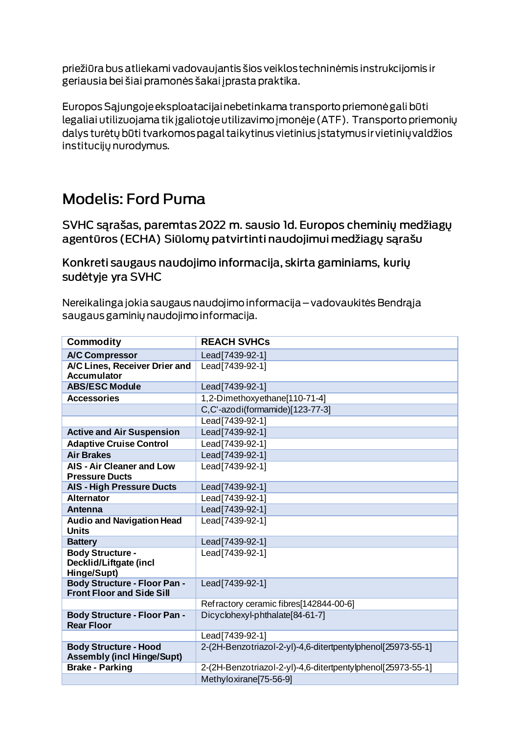priežiūra bus atliekami vadovaujantis šios veiklos techninėmis instrukcijomis ir geriausia bei šiai pramonės šakai į prasta praktika.

Europos Sąjungoje eksploatacijai nebetinkama transporto priemonė gali būti legaliai utilizuojama tik įgaliotoje utilizavimo įmonėje (ATF). Transporto priemonių dalys turėtų būti tvarkomos pagal taikytinus vietinius įstatymus ir vietinių valdžios institucijų nurodymus.

## **Modelis: Ford Puma**

SVHC sarašas, paremtas 2022 m. sausio Id. Europos cheminių medžiagų agentūros (ECHA) Siūlomų patvirtinti naudojimui medžiagų sąrašu

Konkreti saugaus naudojimo informacija, skirta gaminiams, kurių sudėtyje yra SVHC

Nereikalinga jokia saugaus naudojimo informacija – vadovaukitės Bendrąja saugaus gaminių naudojimo informacija.

| <b>Commodity</b>                                                        | <b>REACH SVHCs</b>                                          |
|-------------------------------------------------------------------------|-------------------------------------------------------------|
| <b>A/C Compressor</b>                                                   | Lead[7439-92-1]                                             |
| A/C Lines, Receiver Drier and<br><b>Accumulator</b>                     | Lead[7439-92-1]                                             |
| <b>ABS/ESC Module</b>                                                   | Lead[7439-92-1]                                             |
| <b>Accessories</b>                                                      | 1,2-Dimethoxyethane[110-71-4]                               |
|                                                                         | C,C'-azodi(formamide)[123-77-3]                             |
|                                                                         | Lead[7439-92-1]                                             |
| <b>Active and Air Suspension</b>                                        | Lead[7439-92-1]                                             |
| <b>Adaptive Cruise Control</b>                                          | Lead[7439-92-1]                                             |
| <b>Air Brakes</b>                                                       | Lead[7439-92-1]                                             |
| <b>AIS - Air Cleaner and Low</b><br><b>Pressure Ducts</b>               | Lead [7439-92-1]                                            |
| <b>AIS - High Pressure Ducts</b>                                        | Lead[7439-92-1]                                             |
| <b>Alternator</b>                                                       | Lead[7439-92-1]                                             |
| <b>Antenna</b>                                                          | Lead[7439-92-1]                                             |
| <b>Audio and Navigation Head</b><br><b>Units</b>                        | Lead [7439-92-1]                                            |
| <b>Battery</b>                                                          | Lead[7439-92-1]                                             |
| <b>Body Structure -</b><br>Decklid/Liftgate (incl<br>Hinge/Supt)        | Lead [7439-92-1]                                            |
| <b>Body Structure - Floor Pan -</b><br><b>Front Floor and Side Sill</b> | Lead[7439-92-1]                                             |
|                                                                         | Refractory ceramic fibres[142844-00-6]                      |
| <b>Body Structure - Floor Pan -</b><br><b>Rear Floor</b>                | Dicyclohexyl-phthalate[84-61-7]                             |
|                                                                         | Lead[7439-92-1]                                             |
| <b>Body Structure - Hood</b><br><b>Assembly (incl Hinge/Supt)</b>       | 2-(2H-Benzotriazol-2-yl)-4,6-ditertpentylphenol[25973-55-1] |
| <b>Brake - Parking</b>                                                  | 2-(2H-Benzotriazol-2-yl)-4,6-ditertpentylphenol[25973-55-1] |
|                                                                         | Methyloxirane[75-56-9]                                      |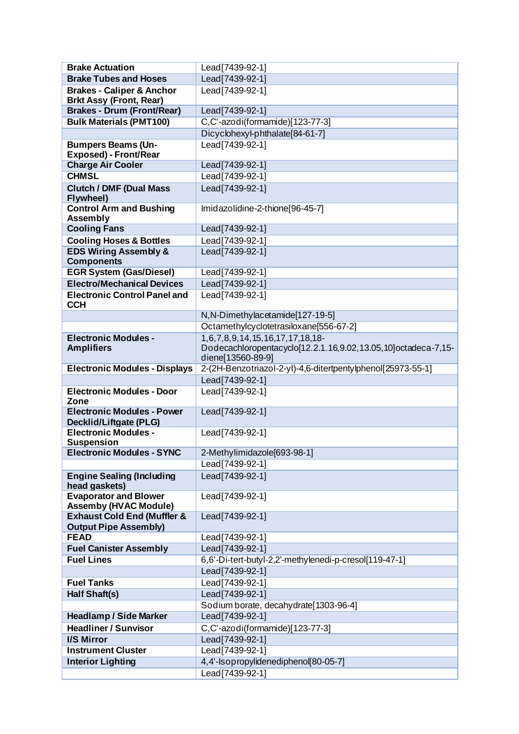| <b>Brake Actuation</b>                                                 | Lead[7439-92-1]                                                                                                       |
|------------------------------------------------------------------------|-----------------------------------------------------------------------------------------------------------------------|
| <b>Brake Tubes and Hoses</b>                                           | Lead [7439-92-1]                                                                                                      |
| <b>Brakes - Caliper &amp; Anchor</b><br><b>Brkt Assy (Front, Rear)</b> | Lead [7439-92-1]                                                                                                      |
| <b>Brakes - Drum (Front/Rear)</b>                                      | Lead[7439-92-1]                                                                                                       |
| <b>Bulk Materials (PMT100)</b>                                         | C,C'-azodi(formamide)[123-77-3]                                                                                       |
|                                                                        | Dicyclohexyl-phthalate[84-61-7]                                                                                       |
| <b>Bumpers Beams (Un-</b><br>Exposed) - Front/Rear                     | Lead[7439-92-1]                                                                                                       |
| <b>Charge Air Cooler</b>                                               | Lead[7439-92-1]                                                                                                       |
| <b>CHMSL</b>                                                           | Lead[7439-92-1]                                                                                                       |
| <b>Clutch / DMF (Dual Mass)</b><br>Flywheel)                           | Lead[7439-92-1]                                                                                                       |
| <b>Control Arm and Bushing</b><br><b>Assembly</b>                      | Imidazolidine-2-thione[96-45-7]                                                                                       |
| <b>Cooling Fans</b>                                                    | Lead[7439-92-1]                                                                                                       |
| <b>Cooling Hoses &amp; Bottles</b>                                     | Lead[7439-92-1]                                                                                                       |
| <b>EDS Wiring Assembly &amp;</b><br><b>Components</b>                  | Lead[7439-92-1]                                                                                                       |
| <b>EGR System (Gas/Diesel)</b>                                         | Lead[7439-92-1]                                                                                                       |
| <b>Electro/Mechanical Devices</b>                                      | Lead[7439-92-1]                                                                                                       |
| <b>Electronic Control Panel and</b><br><b>CCH</b>                      | Lead[7439-92-1]                                                                                                       |
|                                                                        | N, N-Dimethylacetamide[127-19-5]                                                                                      |
|                                                                        | Octamethylcyclotetrasiloxane[556-67-2]                                                                                |
| <b>Electronic Modules -</b><br><b>Amplifiers</b>                       | 1,6,7,8,9,14,15,16,17,17,18,18-<br>Dodecachloropentacyclo[12.2.1.16,9.02,13.05,10]octadeca-7,15-<br>diene[13560-89-9] |
| <b>Electronic Modules - Displays</b>                                   | 2-(2H-Benzotriazol-2-yl)-4,6-ditertpentylphenol[25973-55-1]                                                           |
|                                                                        | Lead[7439-92-1]                                                                                                       |
| <b>Electronic Modules - Door</b><br>Zone                               | Lead [7439-92-1]                                                                                                      |
| <b>Electronic Modules - Power</b><br><b>Decklid/Liftgate (PLG)</b>     | Lead[7439-92-1]                                                                                                       |
| <b>Electronic Modules -</b><br><b>Suspension</b>                       | Lead[7439-92-1]                                                                                                       |
| <b>Electronic Modules - SYNC</b>                                       | 2-Methylimidazole[693-98-1]                                                                                           |
|                                                                        | Lead[7439-92-1]                                                                                                       |
| <b>Engine Sealing (Including</b><br>head gaskets)                      | Lead[7439-92-1]                                                                                                       |
| <b>Evaporator and Blower</b><br><b>Assemby (HVAC Module)</b>           | Lead[7439-92-1]                                                                                                       |
| <b>Exhaust Cold End (Muffler &amp;</b><br><b>Output Pipe Assembly)</b> | Lead[7439-92-1]                                                                                                       |
| <b>FEAD</b>                                                            | Lead[7439-92-1]                                                                                                       |
| <b>Fuel Canister Assembly</b>                                          | Lead[7439-92-1]                                                                                                       |
| <b>Fuel Lines</b>                                                      | 6,6'-Di-tert-butyl-2,2'-methylenedi-p-cresol[119-47-1]                                                                |
|                                                                        | Lead[7439-92-1]                                                                                                       |
| <b>Fuel Tanks</b>                                                      | Lead[7439-92-1]                                                                                                       |
| Half Shaft(s)                                                          | Lead[7439-92-1]                                                                                                       |
|                                                                        | Sodium borate, decahydrate[1303-96-4]                                                                                 |
| <b>Headlamp / Side Marker</b>                                          | Lead [7439-92-1]                                                                                                      |
| <b>Headliner / Sunvisor</b>                                            | C,C'-azodi(formamide)[123-77-3]                                                                                       |
| <b>I/S Mirror</b>                                                      | Lead[7439-92-1]                                                                                                       |
| <b>Instrument Cluster</b>                                              | Lead [7439-92-1]                                                                                                      |
| <b>Interior Lighting</b>                                               | 4,4'-Isopropylidenediphenol[80-05-7]                                                                                  |
|                                                                        | Lead[7439-92-1]                                                                                                       |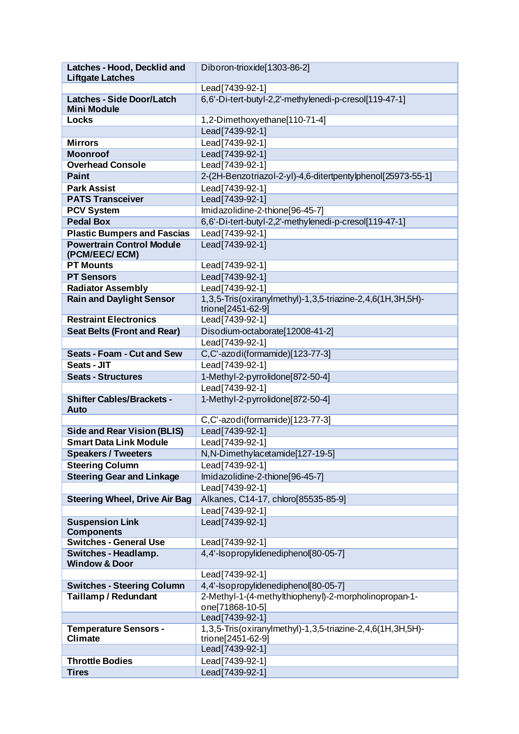| Latches - Hood, Decklid and                             | Diboron-trioxide[1303-86-2]                                                     |
|---------------------------------------------------------|---------------------------------------------------------------------------------|
| <b>Liftgate Latches</b>                                 |                                                                                 |
|                                                         | Lead[7439-92-1]                                                                 |
| <b>Latches - Side Door/Latch</b><br><b>Mini Module</b>  | 6,6'-Di-tert-butyl-2,2'-methylenedi-p-cresol[119-47-1]                          |
| Locks                                                   | 1,2-Dimethoxyethane[110-71-4]                                                   |
|                                                         | Lead[7439-92-1]                                                                 |
| <b>Mirrors</b>                                          | Lead[7439-92-1]                                                                 |
| <b>Moonroof</b>                                         | Lead[7439-92-1]                                                                 |
| <b>Overhead Console</b>                                 | Lead[7439-92-1]                                                                 |
| <b>Paint</b>                                            | 2-(2H-Benzotriazol-2-yl)-4,6-ditertpentylphenol[25973-55-1]                     |
| <b>Park Assist</b>                                      | Lead[7439-92-1]                                                                 |
| <b>PATS Transceiver</b>                                 | Lead[7439-92-1]                                                                 |
| <b>PCV System</b>                                       | Imidazolidine-2-thione[96-45-7]                                                 |
| <b>Pedal Box</b>                                        | 6,6'-Di-tert-butyl-2,2'-methylenedi-p-cresol[119-47-1]                          |
| <b>Plastic Bumpers and Fascias</b>                      | Lead[7439-92-1]                                                                 |
| <b>Powertrain Control Module</b><br>(PCM/EEC/ECM)       | Lead[7439-92-1]                                                                 |
| <b>PT Mounts</b>                                        | Lead[7439-92-1]                                                                 |
| <b>PT Sensors</b>                                       | Lead[7439-92-1]                                                                 |
| <b>Radiator Assembly</b>                                | Lead[7439-92-1]                                                                 |
| <b>Rain and Daylight Sensor</b>                         | 1,3,5-Tris(oxiranylmethyl)-1,3,5-triazine-2,4,6(1H,3H,5H)-<br>trione[2451-62-9] |
| <b>Restraint Electronics</b>                            | Lead[7439-92-1]                                                                 |
| <b>Seat Belts (Front and Rear)</b>                      | Disodium-octaborate[12008-41-2]                                                 |
|                                                         | Lead[7439-92-1]                                                                 |
| <b>Seats - Foam - Cut and Sew</b>                       | C,C'-azodi(formamide)[123-77-3]                                                 |
| Seats - JIT                                             | Lead[7439-92-1]                                                                 |
| <b>Seats - Structures</b>                               | 1-Methyl-2-pyrrolidone[872-50-4]                                                |
|                                                         | Lead[7439-92-1]                                                                 |
|                                                         |                                                                                 |
| <b>Shifter Cables/Brackets -</b>                        | 1-Methyl-2-pyrrolidone[872-50-4]                                                |
| <b>Auto</b>                                             | C,C'-azodi(formamide)[123-77-3]                                                 |
| <b>Side and Rear Vision (BLIS)</b>                      | Lead[7439-92-1]                                                                 |
| <b>Smart Data Link Module</b>                           | Lead[7439-92-1]                                                                 |
| <b>Speakers / Tweeters</b>                              | N,N-Dimethylacetamide[127-19-5]                                                 |
| <b>Steering Column</b>                                  | Lead[7439-92-1]                                                                 |
| <b>Steering Gear and Linkage</b>                        | Imidazolidine-2-thione[96-45-7]                                                 |
|                                                         | Lead[7439-92-1]                                                                 |
| <b>Steering Wheel, Drive Air Bag</b>                    | Alkanes, C14-17, chloro[85535-85-9]                                             |
|                                                         | Lead[7439-92-1]                                                                 |
| <b>Suspension Link</b><br><b>Components</b>             | Lead[7439-92-1]                                                                 |
| <b>Switches - General Use</b>                           | Lead [7439-92-1]                                                                |
| <b>Switches - Headlamp.</b><br><b>Window &amp; Door</b> | 4,4'-Isopropylidenediphenol[80-05-7]                                            |
|                                                         | Lead[7439-92-1]                                                                 |
| <b>Switches - Steering Column</b>                       | 4,4'-Isopropylidenediphenol[80-05-7]                                            |
| <b>Taillamp/Redundant</b>                               | 2-Methyl-1-(4-methylthiophenyl)-2-morpholinopropan-1-                           |
|                                                         | one[71868-10-5]                                                                 |
|                                                         | Lead[7439-92-1]                                                                 |
| <b>Temperature Sensors -</b><br><b>Climate</b>          | 1,3,5-Tris(oxiranylmethyl)-1,3,5-triazine-2,4,6(1H,3H,5H)-<br>trione[2451-62-9] |
|                                                         | Lead[7439-92-1]                                                                 |
| <b>Throttle Bodies</b>                                  | Lead[7439-92-1]                                                                 |